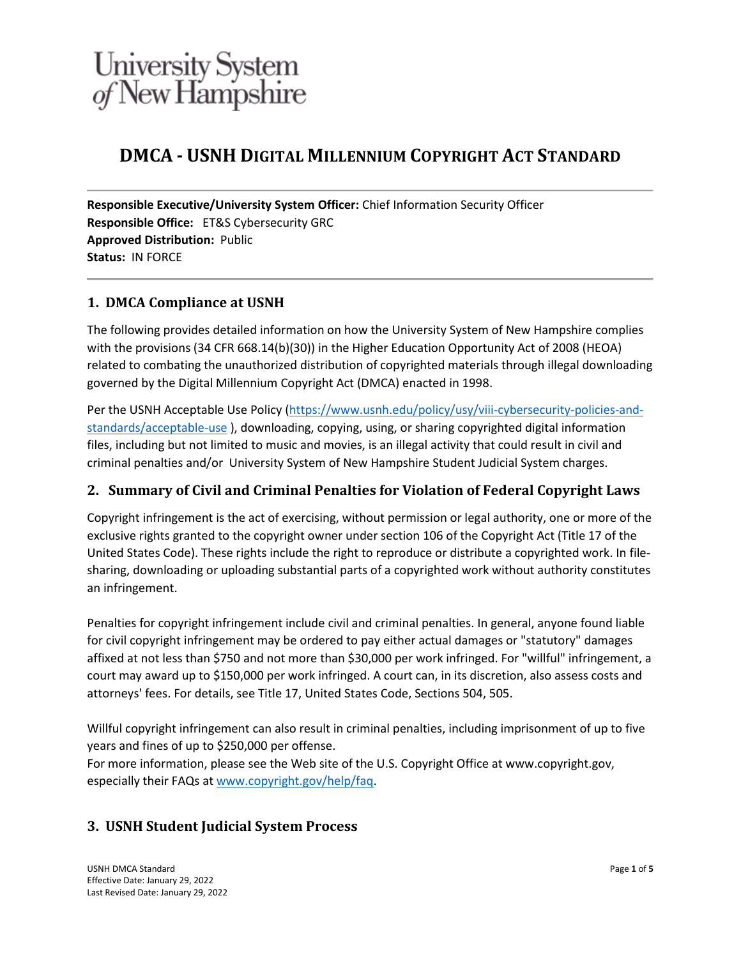## **DMCA - USNH DIGITAL MILLENNIUM COPYRIGHT ACT STANDARD**

**Responsible Executive/University System Officer:** Chief Information Security Officer **Responsible Office:** ET&S Cybersecurity GRC **Approved Distribution:** Public **Status:** IN FORCE

### **1. DMCA Compliance at USNH**

The following provides detailed information on how the University System of New Hampshire complies with the provisions (34 CFR 668.14(b)(30)) in the Higher Education Opportunity Act of 2008 (HEOA) related to combating the unauthorized distribution of copyrighted materials through illegal downloading governed by the Digital Millennium Copyright Act (DMCA) enacted in 1998.

Per the USNH Acceptable Use Policy [\(https://www.usnh.edu/policy/usy/viii-cybersecurity-policies-and](https://www.usnh.edu/policy/usy/viii-cybersecurity-policies-and-standards/acceptable-use)[standards/acceptable-use](https://www.usnh.edu/policy/usy/viii-cybersecurity-policies-and-standards/acceptable-use) ), downloading, copying, using, or sharing copyrighted digital information files, including but not limited to music and movies, is an illegal activity that could result in civil and criminal penalties and/or University System of New Hampshire Student Judicial System charges.

### **2. Summary of Civil and Criminal Penalties for Violation of Federal Copyright Laws**

Copyright infringement is the act of exercising, without permission or legal authority, one or more of the exclusive rights granted to the copyright owner under section 106 of the Copyright Act (Title 17 of the United States Code). These rights include the right to reproduce or distribute a copyrighted work. In filesharing, downloading or uploading substantial parts of a copyrighted work without authority constitutes an infringement.

Penalties for copyright infringement include civil and criminal penalties. In general, anyone found liable for civil copyright infringement may be ordered to pay either actual damages or "statutory" damages affixed at not less than \$750 and not more than \$30,000 per work infringed. For "willful" infringement, a court may award up to \$150,000 per work infringed. A court can, in its discretion, also assess costs and attorneys' fees. For details, see Title 17, United States Code, Sections 504, 505.

Willful copyright infringement can also result in criminal penalties, including imprisonment of up to five years and fines of up to \$250,000 per offense.

For more information, please see the Web site of the U.S. Copyright Office at www.copyright.gov, especially their FAQs at [www.copyright.gov/help/faq.](http://www.copyright.gov/help/faq)

### **3. USNH Student Judicial System Process**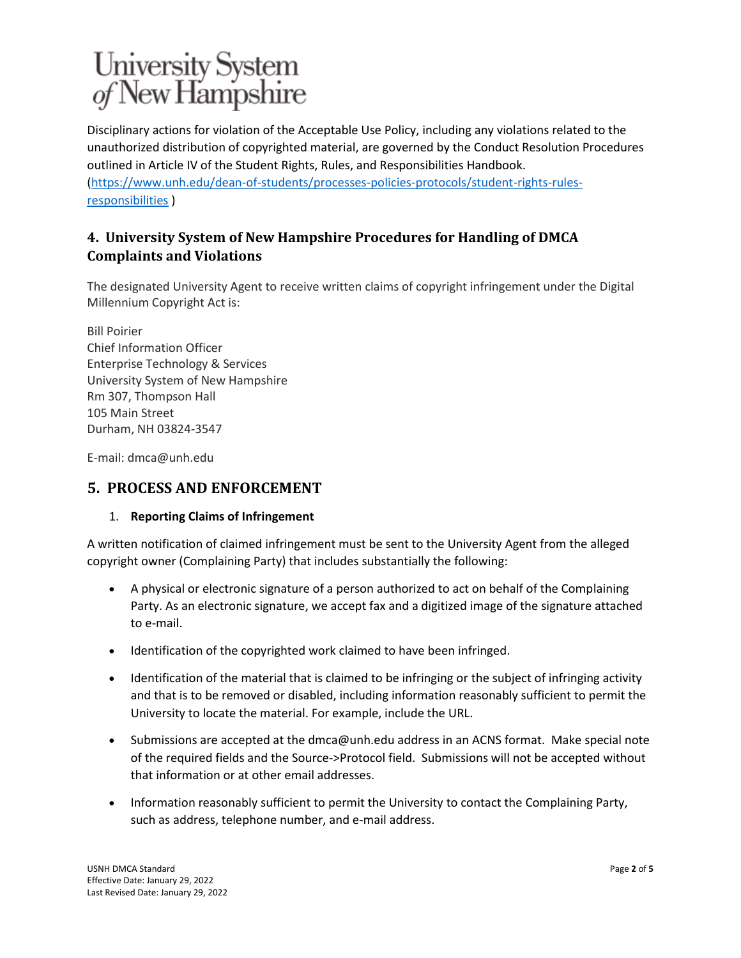Disciplinary actions for violation of the Acceptable Use Policy, including any violations related to the unauthorized distribution of copyrighted material, are governed by the Conduct Resolution Procedures outlined in Article IV of the Student Rights, Rules, and Responsibilities Handbook. [\(https://www.unh.edu/dean-of-students/processes-policies-protocols/student-rights-rules](https://www.unh.edu/dean-of-students/processes-policies-protocols/student-rights-rules-responsibilities)[responsibilities](https://www.unh.edu/dean-of-students/processes-policies-protocols/student-rights-rules-responsibilities) )

### **4. University System of New Hampshire Procedures for Handling of DMCA Complaints and Violations**

The designated University Agent to receive written claims of copyright infringement under the Digital Millennium Copyright Act is:

Bill Poirier Chief Information Officer Enterprise Technology & Services University System of New Hampshire Rm 307, Thompson Hall 105 Main Street Durham, NH 03824-3547

E-mail: dmca@unh.edu

### **5. PROCESS AND ENFORCEMENT**

#### 1. **Reporting Claims of Infringement**

A written notification of claimed infringement must be sent to the University Agent from the alleged copyright owner (Complaining Party) that includes substantially the following:

- A physical or electronic signature of a person authorized to act on behalf of the Complaining Party. As an electronic signature, we accept fax and a digitized image of the signature attached to e-mail.
- Identification of the copyrighted work claimed to have been infringed.
- Identification of the material that is claimed to be infringing or the subject of infringing activity and that is to be removed or disabled, including information reasonably sufficient to permit the University to locate the material. For example, include the URL.
- Submissions are accepted at the dmca@unh.edu address in an ACNS format. Make special note of the required fields and the Source->Protocol field. Submissions will not be accepted without that information or at other email addresses.
- Information reasonably sufficient to permit the University to contact the Complaining Party, such as address, telephone number, and e-mail address.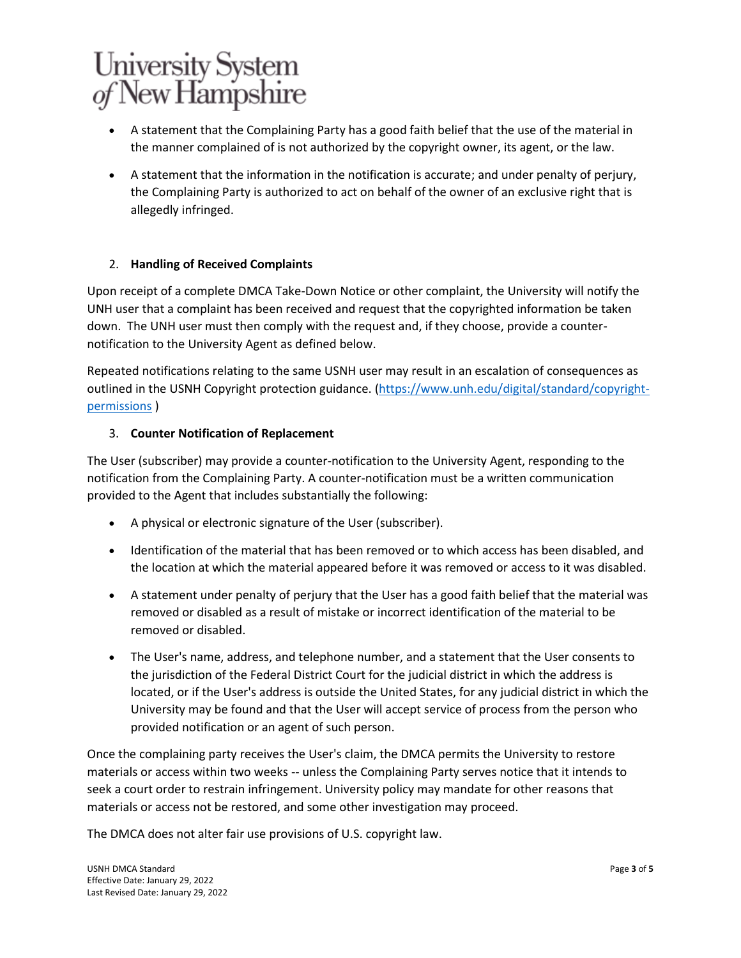- A statement that the Complaining Party has a good faith belief that the use of the material in the manner complained of is not authorized by the copyright owner, its agent, or the law.
- A statement that the information in the notification is accurate; and under penalty of perjury, the Complaining Party is authorized to act on behalf of the owner of an exclusive right that is allegedly infringed.

### 2. **Handling of Received Complaints**

Upon receipt of a complete DMCA Take-Down Notice or other complaint, the University will notify the UNH user that a complaint has been received and request that the copyrighted information be taken down. The UNH user must then comply with the request and, if they choose, provide a counternotification to the University Agent as defined below.

Repeated notifications relating to the same USNH user may result in an escalation of consequences as outlined in the USNH Copyright protection guidance. [\(https://www.unh.edu/digital/standard/copyright](https://www.unh.edu/digital/standard/copyright-permissions)[permissions](https://www.unh.edu/digital/standard/copyright-permissions) )

### 3. **Counter Notification of Replacement**

The User (subscriber) may provide a counter-notification to the University Agent, responding to the notification from the Complaining Party. A counter-notification must be a written communication provided to the Agent that includes substantially the following:

- A physical or electronic signature of the User (subscriber).
- Identification of the material that has been removed or to which access has been disabled, and the location at which the material appeared before it was removed or access to it was disabled.
- A statement under penalty of perjury that the User has a good faith belief that the material was removed or disabled as a result of mistake or incorrect identification of the material to be removed or disabled.
- The User's name, address, and telephone number, and a statement that the User consents to the jurisdiction of the Federal District Court for the judicial district in which the address is located, or if the User's address is outside the United States, for any judicial district in which the University may be found and that the User will accept service of process from the person who provided notification or an agent of such person.

Once the complaining party receives the User's claim, the DMCA permits the University to restore materials or access within two weeks -- unless the Complaining Party serves notice that it intends to seek a court order to restrain infringement. University policy may mandate for other reasons that materials or access not be restored, and some other investigation may proceed.

The DMCA does not alter fair use provisions of U.S. copyright law.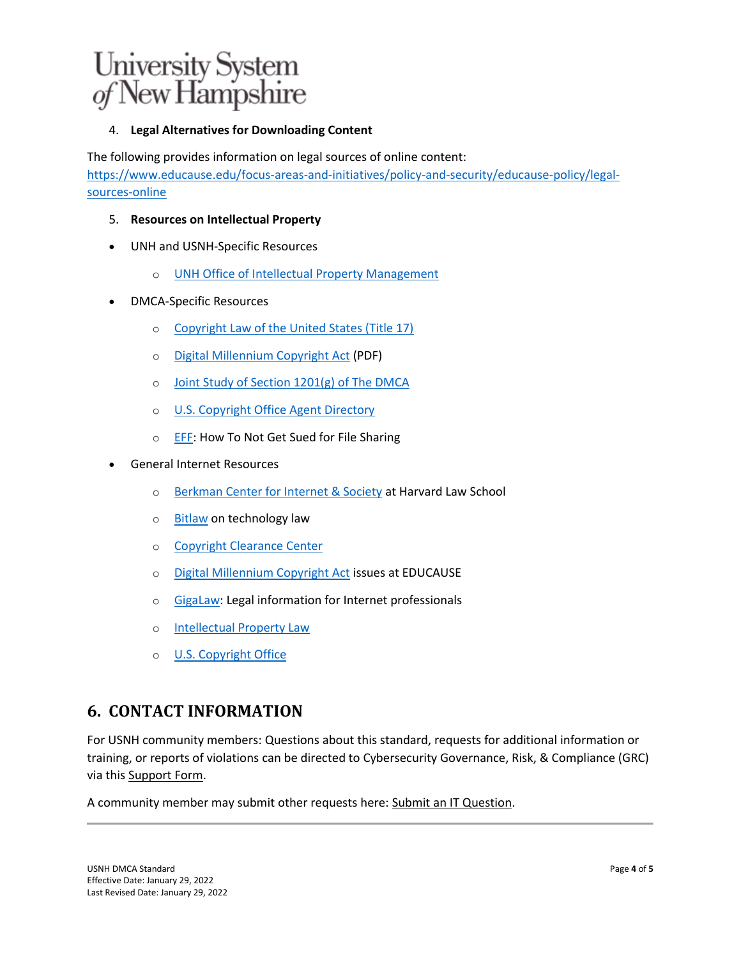### 4. **Legal Alternatives for Downloading Content**

The following provides information on legal sources of online content: [https://www.educause.edu/focus-areas-and-initiatives/policy-and-security/educause-policy/legal](https://www.educause.edu/focus-areas-and-initiatives/policy-and-security/educause-policy/legal-sources-online)[sources-online](https://www.educause.edu/focus-areas-and-initiatives/policy-and-security/educause-policy/legal-sources-online)

- 5. **Resources on Intellectual Property**
- UNH and USNH-Specific Resources
	- o [UNH Office of Intellectual Property Management](http://www.unh.edu/research/intellectual-property)
- DMCA-Specific Resources
	- o [Copyright Law of the United States \(Title 17\)](http://www.copyright.gov/title17)
	- o [Digital Millennium Copyright Act](http://www.copyright.gov/legislation/hr2281.pdf) (PDF)
	- o [Joint Study of Section 1201\(g\) of The DMCA](http://www.copyright.gov/reports/studies/dmca_report.html)
	- o [U.S. Copyright Office Agent Directory](http://www.copyright.gov/onlinesp/)
	- o [EFF:](https://www.eff.org/wp/how-not-get-sued-file-sharing) How To Not Get Sued for File Sharing
- General Internet Resources
	- o [Berkman Center for Internet & Society](http://cyber.law.harvard.edu/) at Harvard Law School
	- o [Bitlaw](http://www.bitlaw.com/) on technology law
	- o [Copyright Clearance Center](http://www.copyright.com/)
	- o [Digital Millennium Copyright Act](http://www.educause.edu/library/digital-millennium-copyright-act-dmca) issues at EDUCAUSE
	- o [GigaLaw:](http://gigalaw.com/) Legal information for Internet professionals
	- o [Intellectual Property Law](http://www.aipla.org/about/iplaw/Pages/default.aspx)
	- o [U.S. Copyright Office](http://www.copyright.gov/)

### **6. CONTACT INFORMATION**

For USNH community members: Questions about this standard, requests for additional information or training, or reports of violations can be directed to Cybersecurity Governance, Risk, & Compliance (GRC) via this [Support Form.](https://td.unh.edu/TDClient/Requests/ServiceDet?ID=172)

A community member may submit other requests here: [Submit an IT Question.](https://td.unh.edu/TDClient/Requests/TicketRequests/NewForm?ID=ne440qM8v2g_)